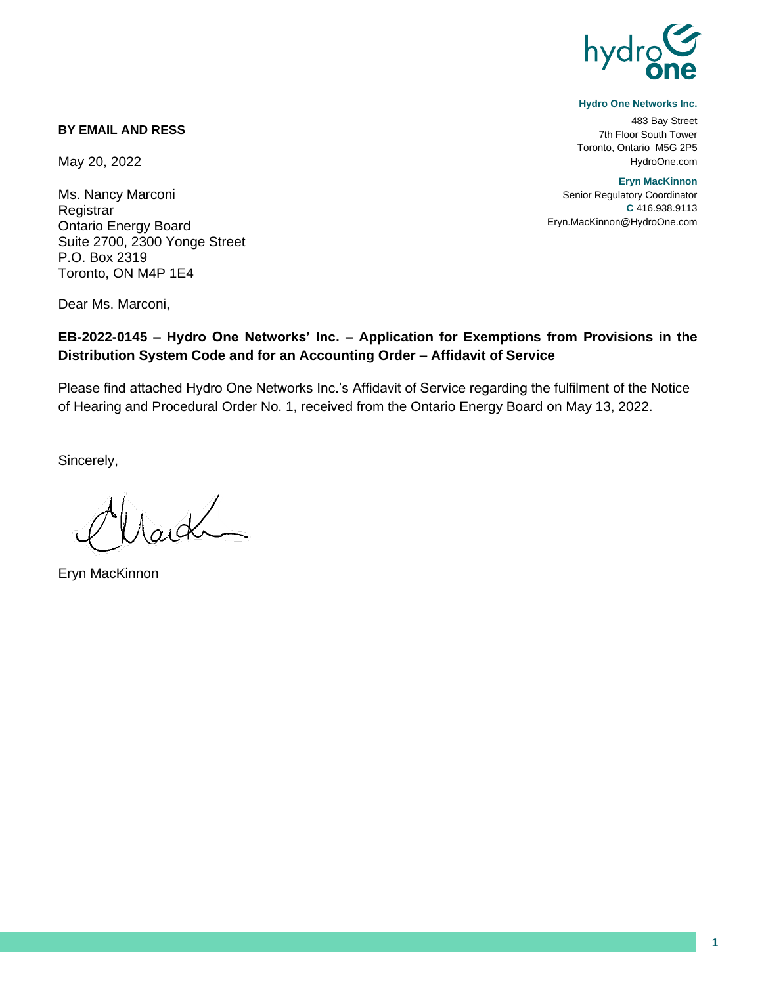

#### **Hydro One Networks Inc.**

483 Bay Street 7th Floor South Tower Toronto, Ontario M5G 2P5 HydroOne.com

**Eryn MacKinnon**

Senior Regulatory Coordinator **C** 416.938.9113 Eryn.MacKinnon@HydroOne.com

### **BY EMAIL AND RESS**

May 20, 2022

Ms. Nancy Marconi **Registrar** Ontario Energy Board Suite 2700, 2300 Yonge Street P.O. Box 2319 Toronto, ON M4P 1E4

Dear Ms. Marconi,

## **EB-2022-0145 – Hydro One Networks' Inc. – Application for Exemptions from Provisions in the Distribution System Code and for an Accounting Order – Affidavit of Service**

Please find attached Hydro One Networks Inc.'s Affidavit of Service regarding the fulfilment of the Notice of Hearing and Procedural Order No. 1, received from the Ontario Energy Board on May 13, 2022.

Sincerely,

 $\Lambda$ argh

Eryn MacKinnon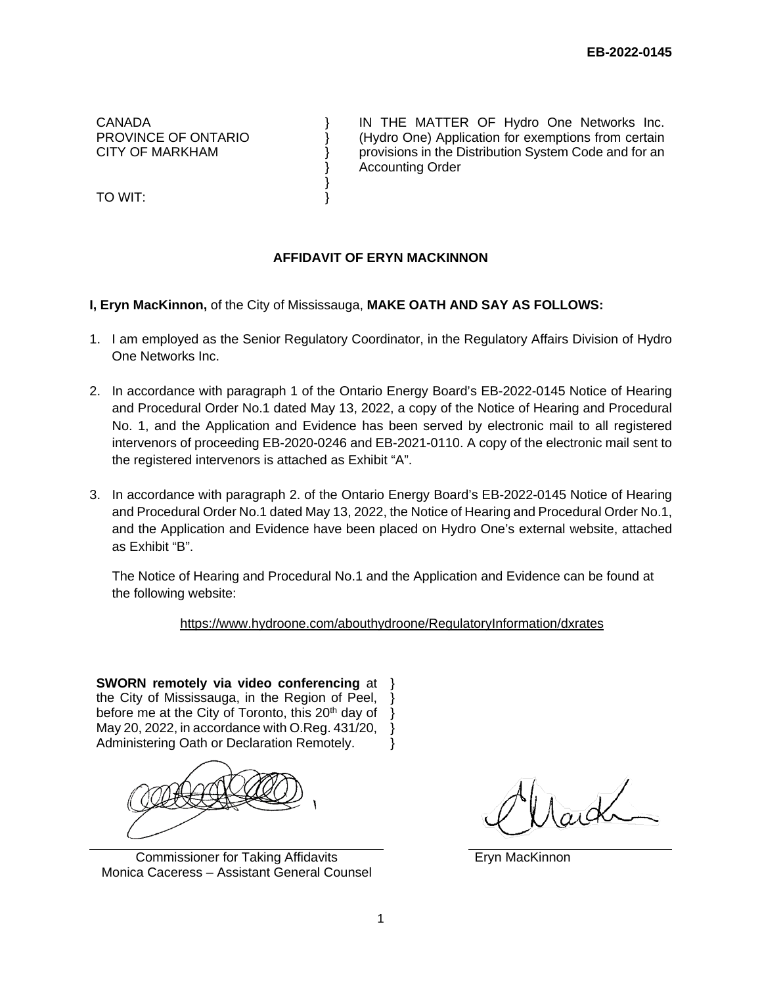CANADA PROVINCE OF ONTARIO CITY OF MARKHAM

TO WIT:

IN THE MATTER OF Hydro One Networks Inc. (Hydro One) Application for exemptions from certain provisions in the Distribution System Code and for an Accounting Order

## **AFFIDAVIT OF ERYN MACKINNON**

**I, Eryn MacKinnon,** of the City of Mississauga, **MAKE OATH AND SAY AS FOLLOWS:**

} } } }

} }

- 1. I am employed as the Senior Regulatory Coordinator, in the Regulatory Affairs Division of Hydro One Networks Inc.
- 2. In accordance with paragraph 1 of the Ontario Energy Board's EB-2022-0145 Notice of Hearing and Procedural Order No.1 dated May 13, 2022, a copy of the Notice of Hearing and Procedural No. 1, and the Application and Evidence has been served by electronic mail to all registered intervenors of proceeding EB-2020-0246 and EB-2021-0110. A copy of the electronic mail sent to the registered intervenors is attached as Exhibit "A".
- 3. In accordance with paragraph 2. of the Ontario Energy Board's EB-2022-0145 Notice of Hearing and Procedural Order No.1 dated May 13, 2022, the Notice of Hearing and Procedural Order No.1, and the Application and Evidence have been placed on Hydro One's external website, attached as Exhibit "B".

The Notice of Hearing and Procedural No.1 and the Application and Evidence can be found at the following website:

<https://www.hydroone.com/abouthydroone/RegulatoryInformation/dxrates>

**SWORN remotely via video conferencing** at } the City of Mississauga, in the Region of Peel, before me at the City of Toronto, this 20<sup>th</sup> day of  $\}$ May 20, 2022, in accordance with O.Reg. 431/20, Administering Oath or Declaration Remotely. } } }

Commissioner for Taking Affidavits Monica Caceress – Assistant General Counsel

Eryn MacKinnon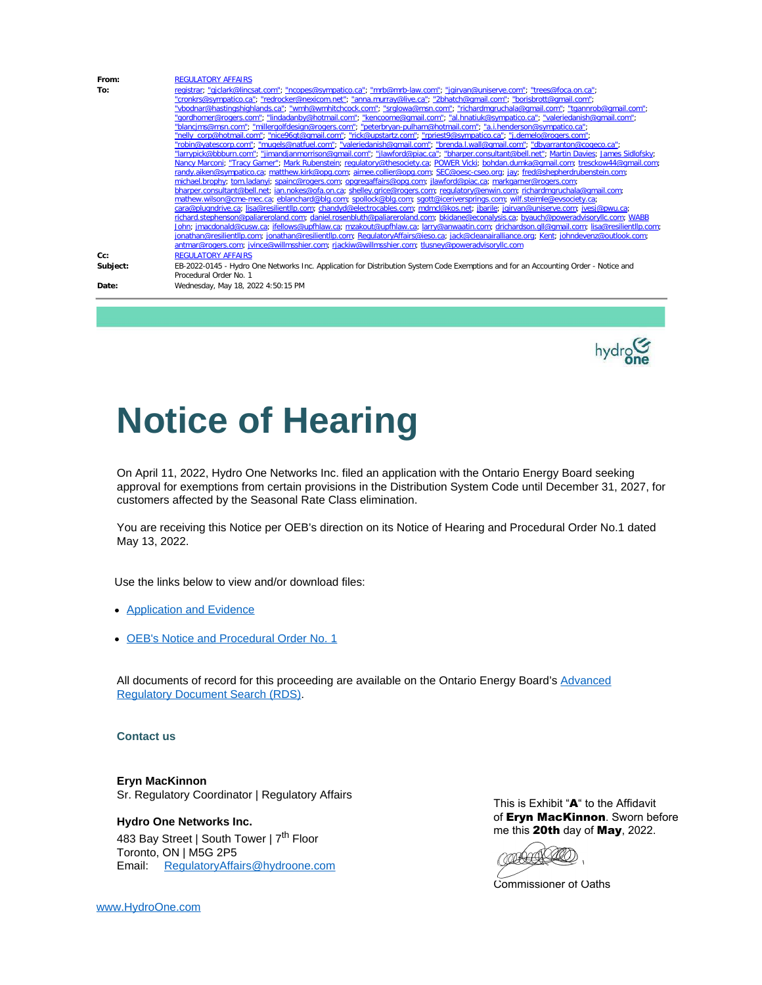| From:    | <b>REGULATORY AFFAIRS</b>                                                                                                                                                                                                                     |
|----------|-----------------------------------------------------------------------------------------------------------------------------------------------------------------------------------------------------------------------------------------------|
| To:      | registrar, "giclark@lincsat.com"; "ncopes@sympatico.ca"; "mrb@mrb-law.com", "jgirvan@uniserve.com", "trees@foca.on.ca";                                                                                                                       |
|          | "cronkrs@sympatico.ca", "redrocker@nexicom.net", "anna.murray@live.ca", "2bhatch@qmail.com", "borisbrott@qmail.com",                                                                                                                          |
|          | "vbodnar@hastingshighlands.ca"; "wmh@wmhitchcock.com"; "srglowa@msn.com"; "richardmgruchala@gmail.com"; "tgannrob@gmail.com";                                                                                                                 |
|          | "gordhomer@rogers.com", "lindadanby@hotmail.com"; "kencoome@gmail.com"; "al.hnatiuk@sympatico.ca"; "valeriedanish@gmail.com";                                                                                                                 |
|          | "blancims@msn.com"; "millergolfdesign@rogers.com"; "peterbryan-pulham@hotmail.com"; "a.i.henderson@sympatico.ca";                                                                                                                             |
|          | "nelly_corp@hotmail.com"; "nice96qt@qmail.com"; "rick@upstartz.com"; "rpriest9@sympatico.ca"; "j.demelo@rogers.com";                                                                                                                          |
|          | "robin@yatescorp.com"; "mugels@natfuel.com"; "valeriedanish@gmail.com"; "brenda.l.wall@gmail.com"; "dbyarranton@cogeco.ca";                                                                                                                   |
|          | "larrypick@bbburn.com"; "jimandjanmorrison@gmail.com"; "jlawford@piac.ca"; "bharper.consultant@bell.net"; Martin Davies; James Sidlofsky;                                                                                                     |
|          | Nancy Marconi; "Tracy Garner"; Mark Rubenstein; regulatory@thesociety.ca; POWER Vicki; bohdan.dumka@gmail.com; tresckow44@gmail.com;                                                                                                          |
|          | randy.aiken@sympatico.ca; matthew.kirk@opq.com; aimee.collier@opq.com; SEC@oesc-cseo.org; jay; fred@shepherdrubenstein.com;                                                                                                                   |
|          | michael.brophy; tom.ladanyi; spainc@rogers.com; opgregaffairs@opg.com; ilawford@piac.ca; markgarner@rogers.com;                                                                                                                               |
|          | bharper.consultant@bell.net; ian.nokes@ofa.on.ca; shelley.grice@rogers.com; regulatory@enwin.com; richardmgruchala@gmail.com;                                                                                                                 |
|          | mathew.wilson@cme-mec.ca; eblanchard@blg.com; spollock@blg.com; sgott@iceriversprings.com; wilf.steimle@evsociety.ca;                                                                                                                         |
|          | cara@plugndrive.ca; lisa@resilientllp.com; chandyd@electrocables.com; mdmcl@kos.net; jbarile; jgirvan@uniserve.com; jvesj@pwu.ca;                                                                                                             |
|          | richard.stephenson@paliareroland.com; daniel.rosenbluth@paliareroland.com; bkidane@econalysis.ca; byauch@poweradyisoryllc.com; WABB                                                                                                           |
|          | John; jmacdonald@cusw.ca; jfellows@upfhlaw.ca; mzakout@upfhlaw.ca; larry@anwaatin.com; drichardson.gll@gmail.com; lisa@resilientllp.com;                                                                                                      |
|          | jonathan@resilientllp.com; jonathan@resilientllp.com; RequlatoryAffairs@jeso.ca; jack@cleanairalliance.org; Kent; johndevenz@outlook.com;<br>antmar@rogers.com; jvince@willmsshier.com; rjackiw@willmsshier.com; tlusney@poweradvisoryllc.com |
|          |                                                                                                                                                                                                                                               |
| Cc:      | <b>REGULATORY AFFAIRS</b>                                                                                                                                                                                                                     |
| Subject: | EB-2022-0145 - Hydro One Networks Inc. Application for Distribution System Code Exemptions and for an Accounting Order - Notice and                                                                                                           |
|          | Procedural Order No. 1                                                                                                                                                                                                                        |
| Date:    | Wednesday, May 18, 2022 4:50:15 PM                                                                                                                                                                                                            |



# **Notice of Hearing**

On April 11, 2022, Hydro One Networks Inc. filed an application with the Ontario Energy Board seeking approval for exemptions from certain provisions in the Distribution System Code until December 31, 2027, for customers affected by the Seasonal Rate Class elimination.

You are receiving this Notice per OEB's direction on its Notice of Hearing and Procedural Order No.1 dated May 13, 2022.

Use the links below to view and/or download files:

- [Application](https://can01.safelinks.protection.outlook.com/?url=https%3A%2F%2Fwww.hydroone.com%2Fabouthydroone%2FRegulatoryInformation%2Fdxrates%2FDocuments%2FHONI_2022_DSC_Exmpt_Seasonal_Rates_20220411.PDF&data=05%7C01%7CRegulatoryAffairs%40hydroone.com%7C8c55f8ff829d42b66a2108da390ffdfa%7Cc0f38700d7f74200ae377eebf475cdc1%7C0%7C0%7C637885038087297279%7CUnknown%7CTWFpbGZsb3d8eyJWIjoiMC4wLjAwMDAiLCJQIjoiV2luMzIiLCJBTiI6Ik1haWwiLCJXVCI6Mn0%3D%7C3000%7C%7C%7C&sdata=Sa29KHRjaEpH5guUNQm2dqaPkR1ktO8UMjlqsq4k1As%3D&reserved=0) and Evidence
- OEB's Notice and [Procedural](https://can01.safelinks.protection.outlook.com/?url=https%3A%2F%2Fwww.hydroone.com%2Fabouthydroone%2FRegulatoryInformation%2Fdxrates%2FDocuments%2FNotice_PO%25201_HONI_DSC_Exemp_20220513.pdf&data=05%7C01%7CRegulatoryAffairs%40hydroone.com%7C8c55f8ff829d42b66a2108da390ffdfa%7Cc0f38700d7f74200ae377eebf475cdc1%7C0%7C0%7C637885038087297279%7CUnknown%7CTWFpbGZsb3d8eyJWIjoiMC4wLjAwMDAiLCJQIjoiV2luMzIiLCJBTiI6Ik1haWwiLCJXVCI6Mn0%3D%7C3000%7C%7C%7C&sdata=pcFj3%2FBpSduXC0VjMeHg6JstvZGkfM0bT3zzNNURVh4%3D&reserved=0) Order No. 1

All documents of record for this proceeding are available on the Ontario Energy Board's [Advanced](https://can01.safelinks.protection.outlook.com/?url=https%3A%2F%2Fwww.rds.oeb.ca%2FCMWebDrawer%2FRecord%3Fq%3Dcasenumber%3AEB-2022-0145%26sortBy%3DrecRegisteredOn-%26pageSize%3D400%23form1&data=05%7C01%7CRegulatoryAffairs%40hydroone.com%7C8c55f8ff829d42b66a2108da390ffdfa%7Cc0f38700d7f74200ae377eebf475cdc1%7C0%7C0%7C637885038087297279%7CUnknown%7CTWFpbGZsb3d8eyJWIjoiMC4wLjAwMDAiLCJQIjoiV2luMzIiLCJBTiI6Ik1haWwiLCJXVCI6Mn0%3D%7C3000%7C%7C%7C&sdata=%2B%2FmGs40axVMLF1hlpixJUq7Aw5GE%2FZ7YW%2BEhGM1idAc%3D&reserved=0) [Regulatory](https://can01.safelinks.protection.outlook.com/?url=https%3A%2F%2Fwww.rds.oeb.ca%2FCMWebDrawer%2FRecord%3Fq%3Dcasenumber%3AEB-2022-0145%26sortBy%3DrecRegisteredOn-%26pageSize%3D400%23form1&data=05%7C01%7CRegulatoryAffairs%40hydroone.com%7C8c55f8ff829d42b66a2108da390ffdfa%7Cc0f38700d7f74200ae377eebf475cdc1%7C0%7C0%7C637885038087297279%7CUnknown%7CTWFpbGZsb3d8eyJWIjoiMC4wLjAwMDAiLCJQIjoiV2luMzIiLCJBTiI6Ik1haWwiLCJXVCI6Mn0%3D%7C3000%7C%7C%7C&sdata=%2B%2FmGs40axVMLF1hlpixJUq7Aw5GE%2FZ7YW%2BEhGM1idAc%3D&reserved=0) Document Search (RDS).

**Contact us**

**Eryn MacKinnon** Sr. Regulatory Coordinator | Regulatory Affairs

**Hydro One Networks Inc.** 483 Bay Street | South Tower | 7<sup>th</sup> Floor Toronto, ON | M5G 2P5 Email: [RegulatoryAffairs@hydroone.com](mailto:RegulatoryAffairs@hydroone.com) This is Exhibit "A" to the Affidavit of Eryn MacKinnon. Sworn before me this 20th day of May, 2022.

CORRECT **AO**O)

Commissioner of Oaths

[www.HydroOne.com](https://can01.safelinks.protection.outlook.com/?url=http%3A%2F%2Fwww.hydroone.com%2F&data=05%7C01%7CRegulatoryAffairs%40hydroone.com%7C8c55f8ff829d42b66a2108da390ffdfa%7Cc0f38700d7f74200ae377eebf475cdc1%7C0%7C0%7C637885038087453523%7CUnknown%7CTWFpbGZsb3d8eyJWIjoiMC4wLjAwMDAiLCJQIjoiV2luMzIiLCJBTiI6Ik1haWwiLCJXVCI6Mn0%3D%7C3000%7C%7C%7C&sdata=aBLsLRk0qsUxp9pbdmrITAJH%2F2DDa28QKYcsazEAug4%3D&reserved=0)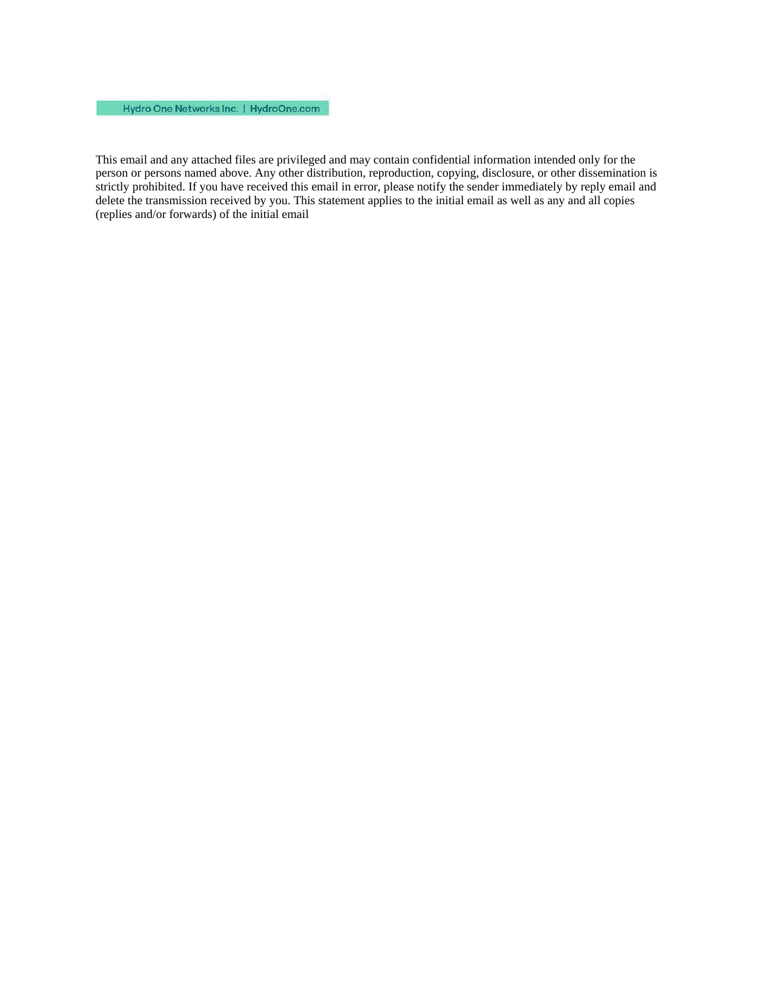### Hydro One Networks Inc. | HydroOne.com

This email and any attached files are privileged and may contain confidential information intended only for the person or persons named above. Any other distribution, reproduction, copying, disclosure, or other dissemination is strictly prohibited. If you have received this email in error, please notify the sender immediately by reply email and delete the transmission received by you. This statement applies to the initial email as well as any and all copies (replies and/or forwards) of the initial email